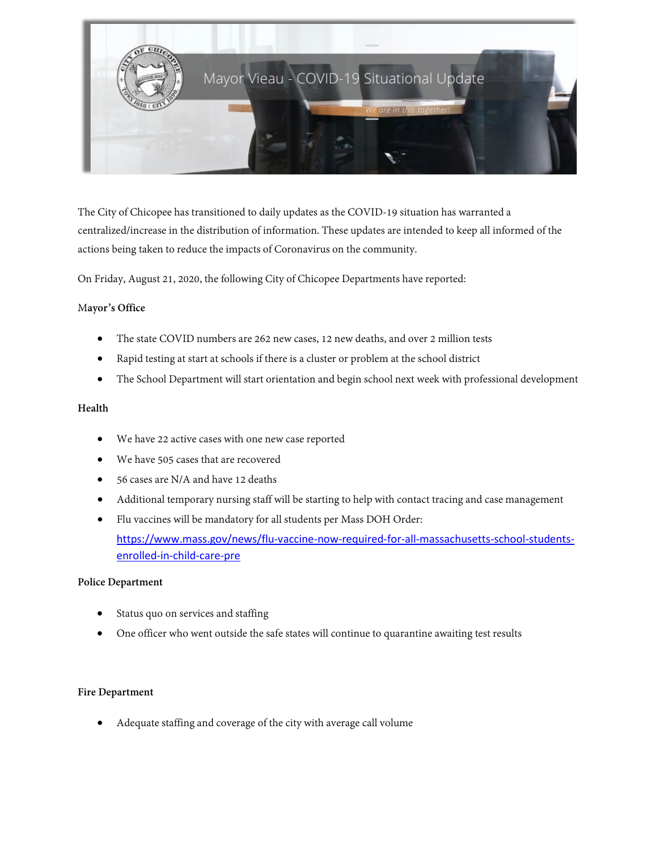

The City of Chicopee has transitioned to daily updates as the COVID-19 situation has warranted a centralized/increase in the distribution of information. These updates are intended to keep all informed of the actions being taken to reduce the impacts of Coronavirus on the community.

On Friday, August 21, 2020, the following City of Chicopee Departments have reported:

### M**ayor's Office**

- The state COVID numbers are 262 new cases, 12 new deaths, and over 2 million tests
- Rapid testing at start at schools if there is a cluster or problem at the school district
- The School Department will start orientation and begin school next week with professional development

### **Health**

- We have 22 active cases with one new case reported
- We have 505 cases that are recovered
- 56 cases are N/A and have 12 deaths
- Additional temporary nursing staff will be starting to help with contact tracing and case management
- Flu vaccines will be mandatory for all students per Mass DOH Order: [https://www.mass.gov/news/flu-vaccine-now-required-for-all-massachusetts-school-students](https://www.mass.gov/news/flu-vaccine-now-required-for-all-massachusetts-school-students-enrolled-in-child-care-pre)[enrolled-in-child-care-pre](https://www.mass.gov/news/flu-vaccine-now-required-for-all-massachusetts-school-students-enrolled-in-child-care-pre)

### **Police Department**

- Status quo on services and staffing
- One officer who went outside the safe states will continue to quarantine awaiting test results

### **Fire Department**

• Adequate staffing and coverage of the city with average call volume